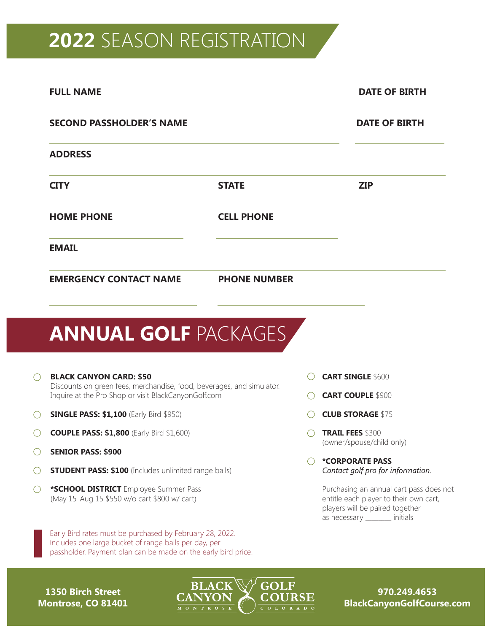## **2022** SEASON REGISTRATION

|   | <b>FULL NAME</b>                                                                                                                                                |                     |  | <b>DATE OF BIRTH</b>                                                             |
|---|-----------------------------------------------------------------------------------------------------------------------------------------------------------------|---------------------|--|----------------------------------------------------------------------------------|
|   | <b>SECOND PASSHOLDER'S NAME</b>                                                                                                                                 |                     |  | <b>DATE OF BIRTH</b>                                                             |
|   | <b>ADDRESS</b>                                                                                                                                                  |                     |  |                                                                                  |
|   | <b>CITY</b>                                                                                                                                                     | <b>STATE</b>        |  | <b>ZIP</b>                                                                       |
|   | <b>HOME PHONE</b>                                                                                                                                               | <b>CELL PHONE</b>   |  |                                                                                  |
|   | <b>EMAIL</b>                                                                                                                                                    |                     |  |                                                                                  |
|   | <b>EMERGENCY CONTACT NAME</b>                                                                                                                                   | <b>PHONE NUMBER</b> |  |                                                                                  |
|   | <b>ANNUAL GOLF PACKAGES</b>                                                                                                                                     |                     |  |                                                                                  |
|   | <b>BLACK CANYON CARD: \$50</b><br>Discounts on green fees, merchandise, food, beverages, and simulator.<br>Inquire at the Pro Shop or visit BlackCanyonGolf.com |                     |  | <b>CART SINGLE \$600</b>                                                         |
|   |                                                                                                                                                                 |                     |  | <b>CART COUPLE \$900</b>                                                         |
|   | <b>SINGLE PASS: \$1,100 (Early Bird \$950)</b>                                                                                                                  |                     |  | <b>CLUB STORAGE \$75</b>                                                         |
|   | <b>COUPLE PASS: \$1,800</b> (Early Bird \$1,600)                                                                                                                |                     |  | <b>TRAIL FEES \$300</b>                                                          |
|   | <b>SENIOR PASS: \$900</b>                                                                                                                                       |                     |  | (owner/spouse/child only)                                                        |
|   | <b>STUDENT PASS: \$100</b> (Includes unlimited range balls)                                                                                                     |                     |  | <i><b>*CORPORATE PASS</b></i><br>Contact golf pro for information.               |
| ○ | *SCHOOL DISTRICT Employee Summer Pass<br>(May 15-Aug 15 \$550 w/o cart \$800 w/ cart)                                                                           |                     |  | Purchasing an annual cart pass does no<br>entitle each player to their own cart, |

Early Bird rates must be purchased by February 28, 2022. Includes one large bucket of range balls per day, per passholder. Payment plan can be made on the early bird price.

Purchasing an annual cart pass does not players will be paired together as necessary \_\_\_\_\_\_\_\_ initials

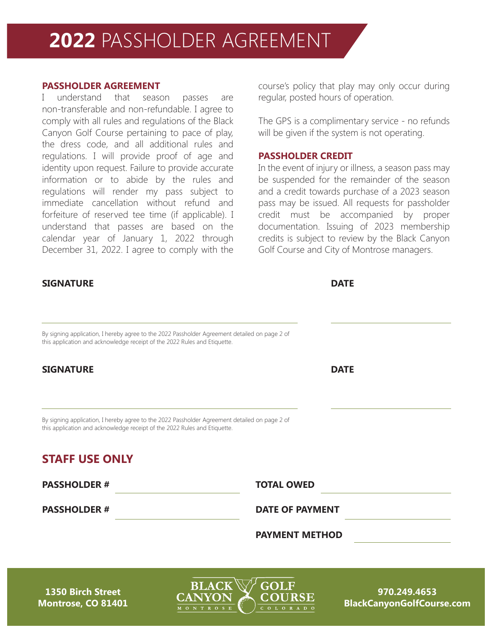## **2022** PASSHOLDER AGREEMENT

## **PASSHOLDER AGREEMENT**

I understand that season passes are non-transferable and non-refundable. I agree to comply with all rules and regulations of the Black Canyon Golf Course pertaining to pace of play, the dress code, and all additional rules and regulations. I will provide proof of age and identity upon request. Failure to provide accurate information or to abide by the rules and regulations will render my pass subject to immediate cancellation without refund and forfeiture of reserved tee time (if applicable). I understand that passes are based on the calendar year of January 1, 2022 through December 31, 2022. I agree to comply with the

## **SIGNATURE DATE**

course's policy that play may only occur during regular, posted hours of operation.

The GPS is a complimentary service - no refunds will be given if the system is not operating.

#### **PASSHOLDER CREDIT**

In the event of injury or illness, a season pass may be suspended for the remainder of the season and a credit towards purchase of a 2023 season pass may be issued. All requests for passholder credit must be accompanied by proper documentation. Issuing of 2023 membership credits is subject to review by the Black Canyon Golf Course and City of Montrose managers.

| By signing application, I hereby agree to the 2022 Passholder Agreement detailed on page 2 of<br>this application and acknowledge receipt of the 2022 Rules and Etiquette. |                        |  |
|----------------------------------------------------------------------------------------------------------------------------------------------------------------------------|------------------------|--|
| <b>SIGNATURE</b>                                                                                                                                                           | <b>DATE</b>            |  |
| By signing application, I hereby agree to the 2022 Passholder Agreement detailed on page 2 of<br>this application and acknowledge receipt of the 2022 Rules and Etiquette. |                        |  |
| <b>STAFF USE ONLY</b>                                                                                                                                                      |                        |  |
| <b>PASSHOLDER#</b>                                                                                                                                                         | <b>TOTAL OWED</b>      |  |
|                                                                                                                                                                            | <b>DATE OF PAYMENT</b> |  |
| <b>PASSHOLDER#</b>                                                                                                                                                         |                        |  |

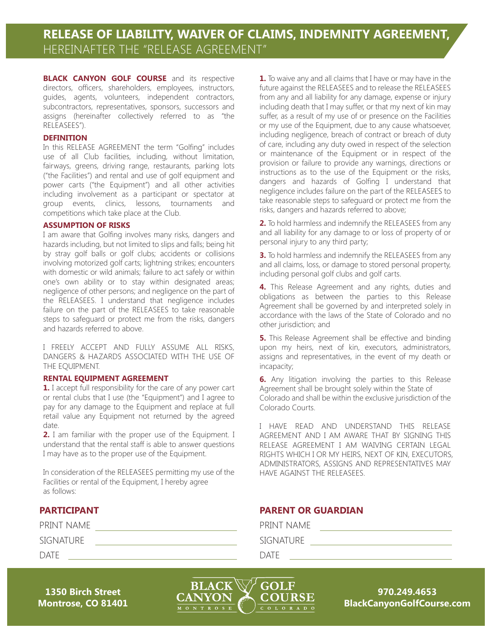**BLACK CANYON GOLF COURSE** and its respective directors, officers, shareholders, employees, instructors, guides, agents, volunteers, independent contractors, subcontractors, representatives, sponsors, successors and assigns (hereinafter collectively referred to as "the RELEASEES").

#### **DEFINITION**

In this RELEASE AGREEMENT the term "Golfing" includes use of all Club facilities, including, without limitation, fairways, greens, driving range, restaurants, parking lots ("the Facilities") and rental and use of golf equipment and power carts ("the Equipment") and all other activities including involvement as a participant or spectator at group events, clinics, lessons, tournaments and competitions which take place at the Club.

#### **ASSUMPTION OF RISKS**

I am aware that Golfing involves many risks, dangers and hazards including, but not limited to slips and falls; being hit by stray golf balls or golf clubs; accidents or collisions involving motorized golf carts; lightning strikes; encounters with domestic or wild animals; failure to act safely or within one's own ability or to stay within designated areas; negligence of other persons; and negligence on the part of the RELEASEES. I understand that negligence includes failure on the part of the RELEASEES to take reasonable steps to safeguard or protect me from the risks, dangers and hazards referred to above.

I FREELY ACCEPT AND FULLY ASSUME ALL RISKS, DANGERS & HAZARDS ASSOCIATED WITH THE USE OF THE EQUIPMENT.

#### **RENTAL EQUIPMENT AGREEMENT**

**1.** I accept full responsibility for the care of any power cart or rental clubs that I use (the "Equipment") and I agree to pay for any damage to the Equipment and replace at full retail value any Equipment not returned by the agreed date.

**2.** I am familiar with the proper use of the Equipment. I understand that the rental staff is able to answer questions I may have as to the proper use of the Equipment.

In consideration of the RELEASEES permitting my use of the Facilities or rental of the Equipment, I hereby agree as follows:

## **PARTICIPANT**

| PRINT NAME  |  |
|-------------|--|
| SIGNATURE   |  |
| <b>DATE</b> |  |

**1.** To waive any and all claims that I have or may have in the future against the RELEASEES and to release the RELEASEES from any and all liability for any damage, expense or injury including death that I may suffer, or that my next of kin may suffer, as a result of my use of or presence on the Facilities or my use of the Equipment, due to any cause whatsoever, including negligence, breach of contract or breach of duty of care, including any duty owed in respect of the selection or maintenance of the Equipment or in respect of the provision or failure to provide any warnings, directions or instructions as to the use of the Equipment or the risks, dangers and hazards of Golfing I understand that negligence includes failure on the part of the RELEASEES to take reasonable steps to safeguard or protect me from the risks, dangers and hazards referred to above;

**2.** To hold harmless and indemnify the RELEASEES from any and all liability for any damage to or loss of property of or personal injury to any third party;

**3.** To hold harmless and indemnify the RELEASEES from any and all claims, loss, or damage to stored personal property, including personal golf clubs and golf carts.

**4.** This Release Agreement and any rights, duties and obligations as between the parties to this Release Agreement shall be governed by and interpreted solely in accordance with the laws of the State of Colorado and no other jurisdiction; and

**5.** This Release Agreement shall be effective and binding upon my heirs, next of kin, executors, administrators, assigns and representatives, in the event of my death or incapacity;

**6.** Any litigation involving the parties to this Release Agreement shall be brought solely within the State of Colorado and shall be within the exclusive jurisdiction of the Colorado Courts.

I HAVE READ AND UNDERSTAND THIS RELEASE AGREEMENT AND I AM AWARE THAT BY SIGNING THIS RELEASE AGREEMENT I AM WAIVING CERTAIN LEGAL RIGHTS WHICH I OR MY HEIRS, NEXT OF KIN, EXECUTORS, ADMINISTRATORS, ASSIGNS AND REPRESENTATIVES MAY HAVE AGAINST THE RELEASEES.

## **PARENT OR GUARDIAN**

PRINT NAME

**SIGNATURE** 

DATE

**1350 Birch Street Montrose, CO 81401**

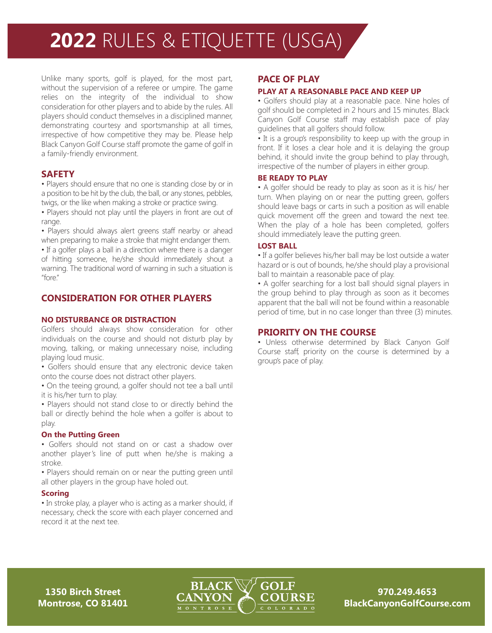# **2022** RULES & ETIQUETTE (USGA)

Unlike many sports, golf is played, for the most part, without the supervision of a referee or umpire. The game relies on the integrity of the individual to show consideration for other players and to abide by the rules. All players should conduct themselves in a disciplined manner, demonstrating courtesy and sportsmanship at all times, irrespective of how competitive they may be. Please help Black Canyon Golf Course staff promote the game of golf in a family-friendly environment.

## **SAFETY**

• Players should ensure that no one is standing close by or in a position to be hit by the club, the ball, or any stones, pebbles, twigs, or the like when making a stroke or practice swing.

• Players should not play until the players in front are out of range.

• Players should always alert greens staff nearby or ahead when preparing to make a stroke that might endanger them.

• If a golfer plays a ball in a direction where there is a danger of hitting someone, he/she should immediately shout a warning. The traditional word of warning in such a situation is "fore."

## **CONSIDERATION FOR OTHER PLAYERS**

#### **NO DISTURBANCE OR DISTRACTION**

Golfers should always show consideration for other individuals on the course and should not disturb play by moving, talking, or making unnecessary noise, including playing loud music.

• Golfers should ensure that any electronic device taken onto the course does not distract other players.

• On the teeing ground, a golfer should not tee a ball until it is his/her turn to play.

• Players should not stand close to or directly behind the ball or directly behind the hole when a golfer is about to play.

#### **On the Putting Green**

• Golfers should not stand on or cast a shadow over another player's line of putt when he/she is making a stroke.

• Players should remain on or near the putting green until all other players in the group have holed out.

#### **Scoring**

• In stroke play, a player who is acting as a marker should, if necessary, check the score with each player concerned and record it at the next tee.

### **PACE OF PLAY**

#### **PLAY AT A REASONABLE PACE AND KEEP UP**

• Golfers should play at a reasonable pace. Nine holes of golf should be completed in 2 hours and 15 minutes. Black Canyon Golf Course staff may establish pace of play guidelines that all golfers should follow.

• It is a group's responsibility to keep up with the group in front. If it loses a clear hole and it is delaying the group behind, it should invite the group behind to play through, irrespective of the number of players in either group.

#### **BE READY TO PLAY**

• A golfer should be ready to play as soon as it is his/ her turn. When playing on or near the putting green, golfers should leave bags or carts in such a position as will enable quick movement off the green and toward the next tee. When the play of a hole has been completed, golfers should immediately leave the putting green.

#### **LOST BALL**

• If a golfer believes his/her ball may be lost outside a water hazard or is out of bounds, he/she should play a provisional ball to maintain a reasonable pace of play.

• A golfer searching for a lost ball should signal players in the group behind to play through as soon as it becomes apparent that the ball will not be found within a reasonable period of time, but in no case longer than three (3) minutes.

#### **PRIORITY ON THE COURSE**

• Unless otherwise determined by Black Canyon Golf Course staff, priority on the course is determined by a group's pace of play.